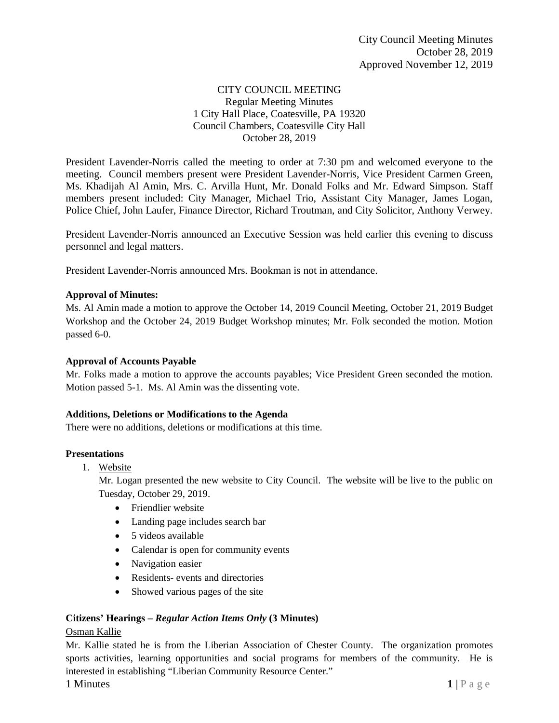# CITY COUNCIL MEETING Regular Meeting Minutes 1 City Hall Place, Coatesville, PA 19320 Council Chambers, Coatesville City Hall October 28, 2019

President Lavender-Norris called the meeting to order at 7:30 pm and welcomed everyone to the meeting. Council members present were President Lavender-Norris, Vice President Carmen Green, Ms. Khadijah Al Amin, Mrs. C. Arvilla Hunt, Mr. Donald Folks and Mr. Edward Simpson. Staff members present included: City Manager, Michael Trio, Assistant City Manager, James Logan, Police Chief, John Laufer, Finance Director, Richard Troutman, and City Solicitor, Anthony Verwey.

President Lavender-Norris announced an Executive Session was held earlier this evening to discuss personnel and legal matters.

President Lavender-Norris announced Mrs. Bookman is not in attendance.

# **Approval of Minutes:**

Ms. Al Amin made a motion to approve the October 14, 2019 Council Meeting, October 21, 2019 Budget Workshop and the October 24, 2019 Budget Workshop minutes; Mr. Folk seconded the motion. Motion passed 6-0.

### **Approval of Accounts Payable**

Mr. Folks made a motion to approve the accounts payables; Vice President Green seconded the motion. Motion passed 5-1. Ms. Al Amin was the dissenting vote.

### **Additions, Deletions or Modifications to the Agenda**

There were no additions, deletions or modifications at this time.

### **Presentations**

1. Website

Mr. Logan presented the new website to City Council. The website will be live to the public on Tuesday, October 29, 2019.

- Friendlier website
- Landing page includes search bar
- 5 videos available
- Calendar is open for community events
- Navigation easier
- Residents- events and directories
- Showed various pages of the site

### **Citizens' Hearings –** *Regular Action Items Only* **(3 Minutes)**

### Osman Kallie

Mr. Kallie stated he is from the Liberian Association of Chester County. The organization promotes sports activities, learning opportunities and social programs for members of the community. He is interested in establishing "Liberian Community Resource Center."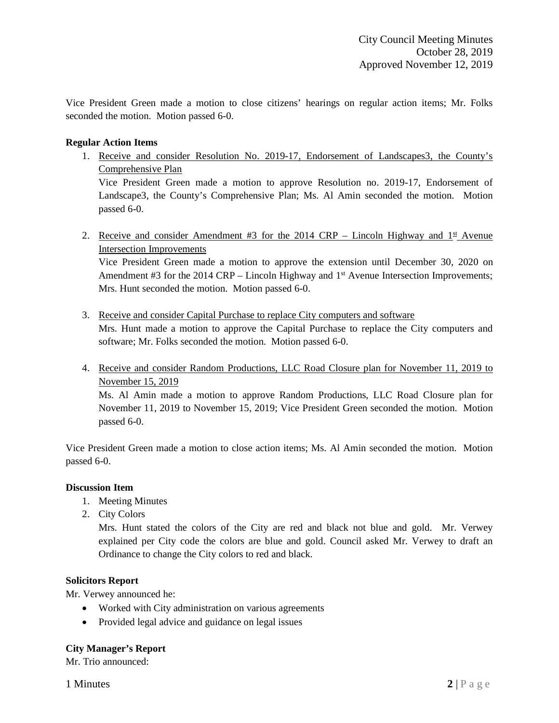Vice President Green made a motion to close citizens' hearings on regular action items; Mr. Folks seconded the motion. Motion passed 6-0.

## **Regular Action Items**

1. Receive and consider Resolution No. 2019-17, Endorsement of Landscapes3, the County's Comprehensive Plan

Vice President Green made a motion to approve Resolution no. 2019-17, Endorsement of Landscape3, the County's Comprehensive Plan; Ms. Al Amin seconded the motion. Motion passed 6-0.

2. Receive and consider Amendment #3 for the 2014 CRP – Lincoln Highway and  $1<sup>st</sup>$  Avenue Intersection Improvements

Vice President Green made a motion to approve the extension until December 30, 2020 on Amendment #3 for the 2014 CRP – Lincoln Highway and 1<sup>st</sup> Avenue Intersection Improvements; Mrs. Hunt seconded the motion. Motion passed 6-0.

- 3. Receive and consider Capital Purchase to replace City computers and software Mrs. Hunt made a motion to approve the Capital Purchase to replace the City computers and software; Mr. Folks seconded the motion. Motion passed 6-0.
- 4. Receive and consider Random Productions, LLC Road Closure plan for November 11, 2019 to November 15, 2019

Ms. Al Amin made a motion to approve Random Productions, LLC Road Closure plan for November 11, 2019 to November 15, 2019; Vice President Green seconded the motion. Motion passed 6-0.

Vice President Green made a motion to close action items; Ms. Al Amin seconded the motion. Motion passed 6-0.

### **Discussion Item**

- 1. Meeting Minutes
- 2. City Colors

Mrs. Hunt stated the colors of the City are red and black not blue and gold. Mr. Verwey explained per City code the colors are blue and gold. Council asked Mr. Verwey to draft an Ordinance to change the City colors to red and black.

### **Solicitors Report**

Mr. Verwey announced he:

- Worked with City administration on various agreements
- Provided legal advice and guidance on legal issues

### **City Manager's Report**

Mr. Trio announced: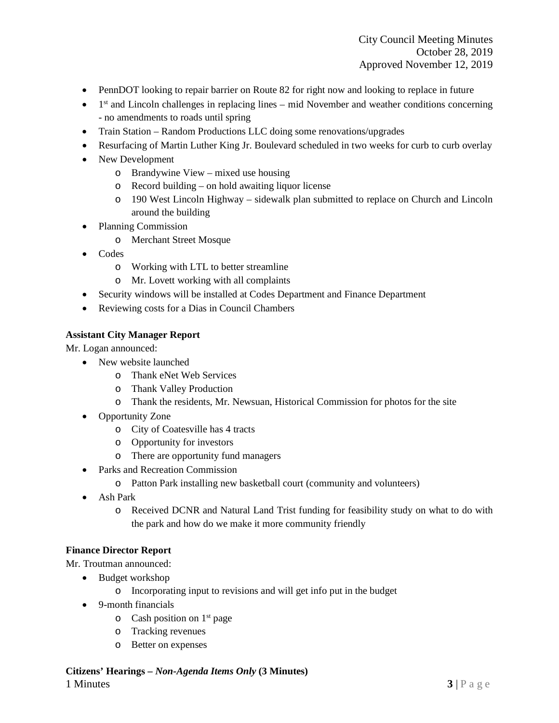- PennDOT looking to repair barrier on Route 82 for right now and looking to replace in future
- $\bullet$  1<sup>st</sup> and Lincoln challenges in replacing lines mid November and weather conditions concerning - no amendments to roads until spring
- Train Station Random Productions LLC doing some renovations/upgrades
- Resurfacing of Martin Luther King Jr. Boulevard scheduled in two weeks for curb to curb overlay
- New Development
	- o Brandywine View mixed use housing
	- o Record building on hold awaiting liquor license
	- o 190 West Lincoln Highway sidewalk plan submitted to replace on Church and Lincoln around the building
- Planning Commission
	- o Merchant Street Mosque
- Codes
	- o Working with LTL to better streamline
	- o Mr. Lovett working with all complaints
- Security windows will be installed at Codes Department and Finance Department
- Reviewing costs for a Dias in Council Chambers

### **Assistant City Manager Report**

Mr. Logan announced:

- New website launched
	- o Thank eNet Web Services
	- o Thank Valley Production
	- o Thank the residents, Mr. Newsuan, Historical Commission for photos for the site
- Opportunity Zone
	- o City of Coatesville has 4 tracts
	- o Opportunity for investors
	- o There are opportunity fund managers
- Parks and Recreation Commission
	- o Patton Park installing new basketball court (community and volunteers)
- Ash Park
	- o Received DCNR and Natural Land Trist funding for feasibility study on what to do with the park and how do we make it more community friendly

### **Finance Director Report**

Mr. Troutman announced:

- Budget workshop
	- o Incorporating input to revisions and will get info put in the budget
- 9-month financials
	- $\circ$  Cash position on 1<sup>st</sup> page
	- o Tracking revenues
	- o Better on expenses

#### **Citizens' Hearings –** *Non-Agenda Items Only* **(3 Minutes)**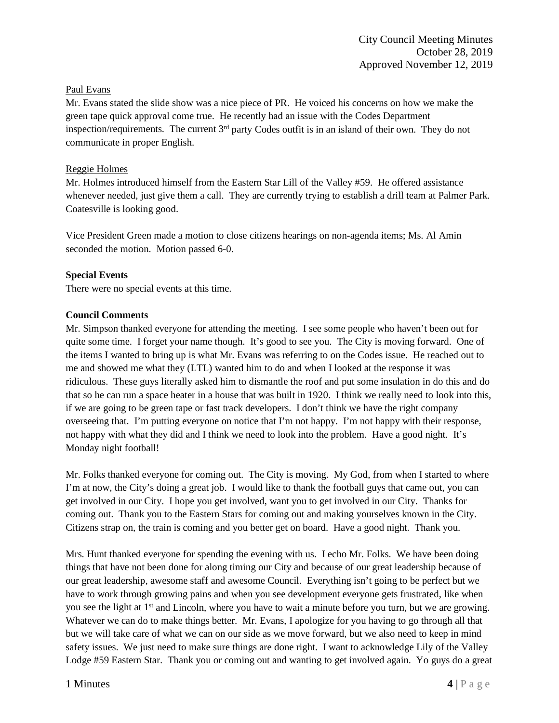## Paul Evans

Mr. Evans stated the slide show was a nice piece of PR. He voiced his concerns on how we make the green tape quick approval come true. He recently had an issue with the Codes Department inspection/requirements. The current 3<sup>rd</sup> party Codes outfit is in an island of their own. They do not communicate in proper English.

### Reggie Holmes

Mr. Holmes introduced himself from the Eastern Star Lill of the Valley #59. He offered assistance whenever needed, just give them a call. They are currently trying to establish a drill team at Palmer Park. Coatesville is looking good.

Vice President Green made a motion to close citizens hearings on non-agenda items; Ms. Al Amin seconded the motion. Motion passed 6-0.

## **Special Events**

There were no special events at this time.

## **Council Comments**

Mr. Simpson thanked everyone for attending the meeting. I see some people who haven't been out for quite some time. I forget your name though. It's good to see you. The City is moving forward. One of the items I wanted to bring up is what Mr. Evans was referring to on the Codes issue. He reached out to me and showed me what they (LTL) wanted him to do and when I looked at the response it was ridiculous. These guys literally asked him to dismantle the roof and put some insulation in do this and do that so he can run a space heater in a house that was built in 1920. I think we really need to look into this, if we are going to be green tape or fast track developers. I don't think we have the right company overseeing that. I'm putting everyone on notice that I'm not happy. I'm not happy with their response, not happy with what they did and I think we need to look into the problem. Have a good night. It's Monday night football!

Mr. Folks thanked everyone for coming out. The City is moving. My God, from when I started to where I'm at now, the City's doing a great job. I would like to thank the football guys that came out, you can get involved in our City. I hope you get involved, want you to get involved in our City. Thanks for coming out. Thank you to the Eastern Stars for coming out and making yourselves known in the City. Citizens strap on, the train is coming and you better get on board. Have a good night. Thank you.

Mrs. Hunt thanked everyone for spending the evening with us. I echo Mr. Folks. We have been doing things that have not been done for along timing our City and because of our great leadership because of our great leadership, awesome staff and awesome Council. Everything isn't going to be perfect but we have to work through growing pains and when you see development everyone gets frustrated, like when you see the light at 1<sup>st</sup> and Lincoln, where you have to wait a minute before you turn, but we are growing. Whatever we can do to make things better. Mr. Evans, I apologize for you having to go through all that but we will take care of what we can on our side as we move forward, but we also need to keep in mind safety issues. We just need to make sure things are done right. I want to acknowledge Lily of the Valley Lodge #59 Eastern Star. Thank you or coming out and wanting to get involved again. Yo guys do a great